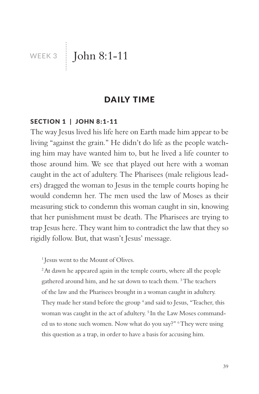WEEK 3 **John 8:1-11** 

### DAILY TIME

#### SECTION 1 | JOHN 8:1-11

The way Jesus lived his life here on Earth made him appear to be living "against the grain." He didn't do life as the people watching him may have wanted him to, but he lived a life counter to those around him. We see that played out here with a woman caught in the act of adultery. The Pharisees (male religious leaders) dragged the woman to Jesus in the temple courts hoping he would condemn her. The men used the law of Moses as their measuring stick to condemn this woman caught in sin, knowing that her punishment must be death. The Pharisees are trying to trap Jesus here. They want him to contradict the law that they so rigidly follow. But, that wasn't Jesus' message.

<sup>1</sup> Jesus went to the Mount of Olives.

<sup>2</sup>At dawn he appeared again in the temple courts, where all the people gathered around him, and he sat down to teach them.<sup>3</sup> The teachers of the law and the Pharisees brought in a woman caught in adultery. They made her stand before the group <sup>4</sup> and said to Jesus, "Teacher, this woman was caught in the act of adultery. 5 In the Law Moses commanded us to stone such women. Now what do you say?" 6 They were using this question as a trap, in order to have a basis for accusing him.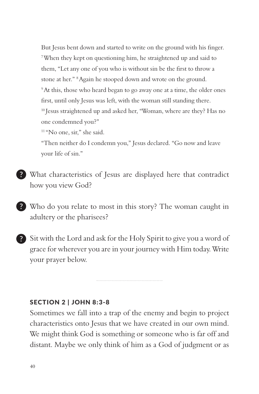But Jesus bent down and started to write on the ground with his finger. 7 When they kept on questioning him, he straightened up and said to them, "Let any one of you who is without sin be the first to throw a stone at her." 8 Again he stooped down and wrote on the ground. <sup>9</sup> At this, those who heard began to go away one at a time, the older ones first, until only Jesus was left, with the woman still standing there. <sup>10</sup> Jesus straightened up and asked her, "Woman, where are they? Has no one condemned you?"

11 "No one, sir," she said.

"Then neither do I condemn you," Jesus declared. "Go now and leave your life of sin."



Who do you relate to most in this story? The woman caught in adultery or the pharisees?

Sit with the Lord and ask for the Holy Spirit to give you a word of grace for wherever you are in your journey with Him today. Write your prayer below.

#### SECTION 2 | JOHN 8:3-8

Sometimes we fall into a trap of the enemy and begin to project characteristics onto Jesus that we have created in our own mind. We might think God is something or someone who is far off and distant. Maybe we only think of him as a God of judgment or as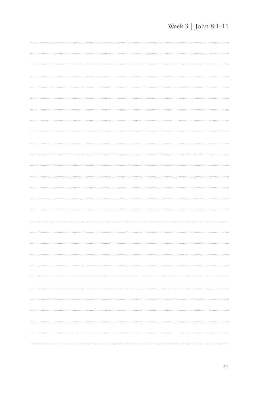| $WCCN$ )   JOHN 0.1-11 |
|------------------------|
|                        |
|                        |
|                        |
|                        |
|                        |
|                        |
|                        |
|                        |
|                        |
|                        |
|                        |
|                        |
|                        |
|                        |
|                        |
|                        |
|                        |
|                        |
|                        |
|                        |
|                        |
|                        |
|                        |
|                        |
|                        |
|                        |
|                        |
|                        |
|                        |
|                        |
|                        |
|                        |
|                        |
|                        |
|                        |
|                        |
|                        |
|                        |
|                        |
|                        |
|                        |
|                        |
|                        |
|                        |
|                        |
|                        |
|                        |
|                        |
|                        |
|                        |
|                        |
|                        |
|                        |
|                        |
|                        |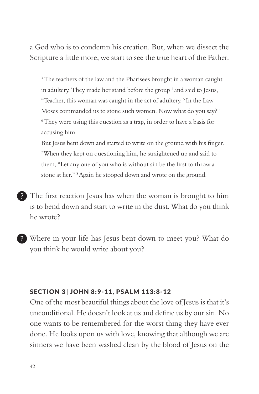a God who is to condemn his creation. But, when we dissect the Scripture a little more, we start to see the true heart of the Father.

<sup>3</sup>The teachers of the law and the Pharisees brought in a woman caught in adultery. They made her stand before the group 4 and said to Jesus, "Teacher, this woman was caught in the act of adultery. 5 In the Law Moses commanded us to stone such women. Now what do you say?" 6 They were using this question as a trap, in order to have a basis for accusing him.

But Jesus bent down and started to write on the ground with his finger. 7 When they kept on questioning him, he straightened up and said to them, "Let any one of you who is without sin be the first to throw a stone at her." 8 Again he stooped down and wrote on the ground.

The first reaction Jesus has when the woman is brought to him is to bend down and start to write in the dust. What do you think he wrote?



#### SECTION 3 | JOHN 8:9-11, PSALM 113:8-12

One of the most beautiful things about the love of Jesus is that it's unconditional. He doesn't look at us and define us by our sin. No one wants to be remembered for the worst thing they have ever done. He looks upon us with love, knowing that although we are sinners we have been washed clean by the blood of Jesus on the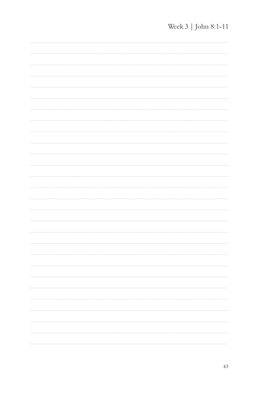| $WCCK$ $J$   JOIIII 0.1-11 |
|----------------------------|
|                            |
|                            |
|                            |
|                            |
|                            |
|                            |
|                            |
|                            |
|                            |
|                            |
|                            |
|                            |
|                            |
|                            |
|                            |
|                            |
|                            |
|                            |
|                            |
|                            |
|                            |
|                            |
|                            |
|                            |
|                            |
|                            |
|                            |
|                            |
|                            |
|                            |
|                            |
|                            |
|                            |
|                            |
|                            |
|                            |
|                            |
|                            |
|                            |
|                            |
|                            |
|                            |
|                            |
|                            |
|                            |
|                            |
|                            |
|                            |
|                            |
|                            |
|                            |
|                            |
|                            |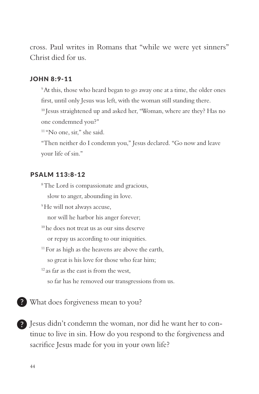cross. Paul writes in Romans that "while we were yet sinners" Christ died for us.

#### JOHN 8:9-11

<sup>9</sup> At this, those who heard began to go away one at a time, the older ones first, until only Jesus was left, with the woman still standing there.

<sup>10</sup> Jesus straightened up and asked her, "Woman, where are they? Has no one condemned you?"

11 "No one, sir," she said.

"Then neither do I condemn you," Jesus declared. "Go now and leave your life of sin."

#### PSALM 113:8-12

8 The Lord is compassionate and gracious,

slow to anger, abounding in love.

<sup>9</sup> He will not always accuse,

nor will he harbor his anger forever;

<sup>10</sup> he does not treat us as our sins deserve or repay us according to our iniquities.

 $11$  For as high as the heavens are above the earth, so great is his love for those who fear him;

 $12$  as far as the east is from the west.

so far has he removed our transgressions from us.

What does forgiveness mean to you?



Jesus didn't condemn the woman, nor did he want her to continue to live in sin. How do you respond to the forgiveness and sacrifice Jesus made for you in your own life?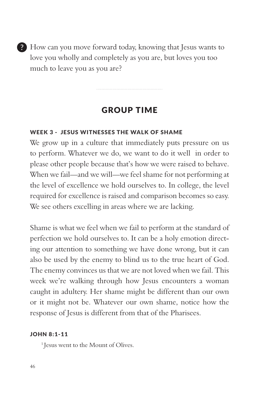How can you move forward today, knowing that Jesus wants to love you wholly and completely as you are, but loves you too much to leave you as you are?

# GROUP TIME

### WEEK 3 - JESUS WITNESSES THE WALK OF SHAME

We grow up in a culture that immediately puts pressure on us to perform. Whatever we do, we want to do it well in order to please other people because that's how we were raised to behave. When we fail—and we will—we feel shame for not performing at the level of excellence we hold ourselves to. In college, the level required for excellence is raised and comparison becomes so easy. We see others excelling in areas where we are lacking.

Shame is what we feel when we fail to perform at the standard of perfection we hold ourselves to. It can be a holy emotion directing our attention to something we have done wrong, but it can also be used by the enemy to blind us to the true heart of God. The enemy convinces us that we are not loved when we fail. This week we're walking through how Jesus encounters a woman caught in adultery. Her shame might be different than our own or it might not be. Whatever our own shame, notice how the response of Jesus is different from that of the Pharisees.

#### JOHN 8:1-11

<sup>1</sup> Jesus went to the Mount of Olives.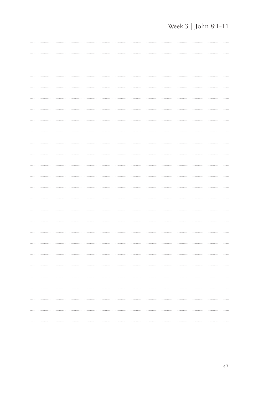|  | $WCCN$ ) John 0.1-11 |
|--|----------------------|
|  |                      |
|  |                      |
|  |                      |
|  |                      |
|  |                      |
|  |                      |
|  |                      |
|  |                      |
|  |                      |
|  |                      |
|  |                      |
|  |                      |
|  |                      |
|  |                      |
|  |                      |
|  |                      |
|  |                      |
|  |                      |
|  |                      |
|  |                      |
|  |                      |
|  |                      |
|  |                      |
|  |                      |
|  |                      |
|  |                      |
|  |                      |
|  |                      |
|  |                      |
|  |                      |
|  |                      |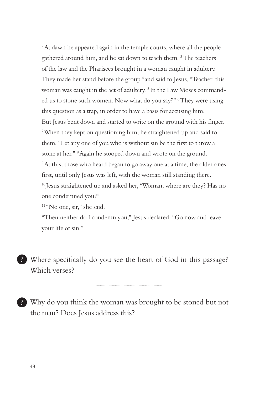<sup>2</sup>At dawn he appeared again in the temple courts, where all the people gathered around him, and he sat down to teach them. 3 The teachers of the law and the Pharisees brought in a woman caught in adultery. They made her stand before the group <sup>4</sup> and said to Jesus, "Teacher, this woman was caught in the act of adultery. 5 In the Law Moses commanded us to stone such women. Now what do you say?" 6 They were using this question as a trap, in order to have a basis for accusing him. But Jesus bent down and started to write on the ground with his finger. 7 When they kept on questioning him, he straightened up and said to them, "Let any one of you who is without sin be the first to throw a stone at her." 8 Again he stooped down and wrote on the ground. <sup>9</sup> At this, those who heard began to go away one at a time, the older ones first, until only Jesus was left, with the woman still standing there. <sup>10</sup> Jesus straightened up and asked her, "Woman, where are they? Has no one condemned you?"

11 "No one, sir," she said.

"Then neither do I condemn you," Jesus declared. "Go now and leave your life of sin."

Where specifically do you see the heart of God in this passage? Which verses?

Why do you think the woman was brought to be stoned but not the man? Does Jesus address this?